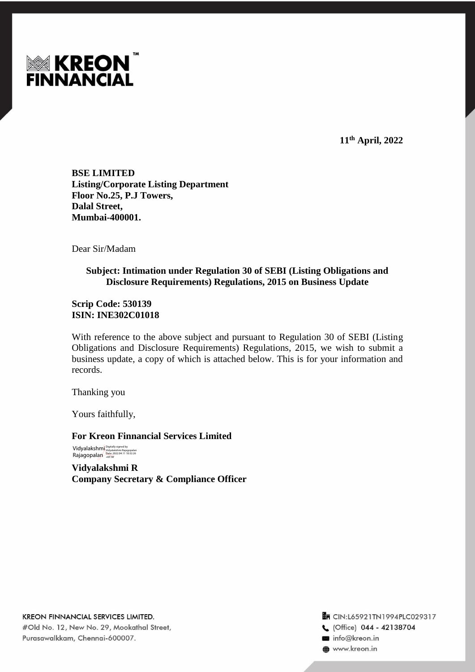

**11th April, 2022**

**BSE LIMITED Listing/Corporate Listing Department Floor No.25, P.J Towers, Dalal Street, Mumbai-400001.**

Dear Sir/Madam

## **Subject: Intimation under Regulation 30 of SEBI (Listing Obligations and Disclosure Requirements) Regulations, 2015 on Business Update**

**Scrip Code: 530139 ISIN: INE302C01018**

With reference to the above subject and pursuant to Regulation 30 of SEBI (Listing Obligations and Disclosure Requirements) Regulations, 2015, we wish to submit a business update, a copy of which is attached below. This is for your information and records.

Thanking you

Yours faithfully,

**For Kreon Finnancial Services Limited** Vidyalakshmi Rajagopalan Digitally signed by Vidyalakshmi Rajagopalan Date: 2022.04.11 10:32:26 +05'30'

**Vidyalakshmi R Company Secretary & Compliance Officer**

**KREON FINNANCIAL SERVICES LIMITED.** #Old No. 12, New No. 29, Mookathal Street, Purasawalkkam, Chennai-600007.

**En** CIN:L65921TN1994PLC029317 C. (Office) 044 - 42138704 info@kreon.in **@** www.kreon.in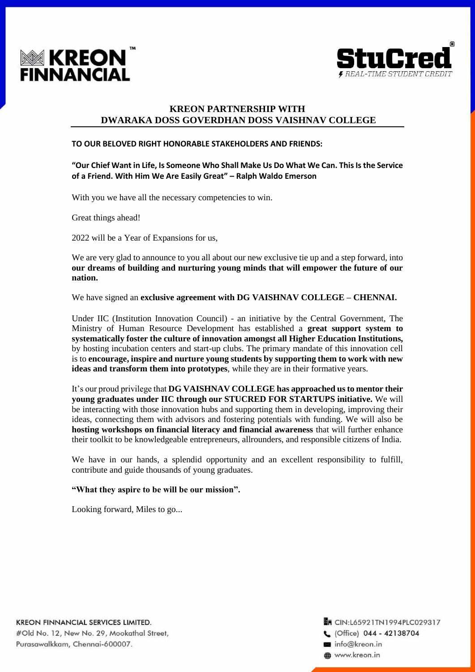



# **KREON PARTNERSHIP WITH DWARAKA DOSS GOVERDHAN DOSS VAISHNAV COLLEGE**

#### **TO OUR BELOVED RIGHT HONORABLE STAKEHOLDERS AND FRIENDS:**

### **"Our Chief Want in Life, Is Someone Who Shall Make Us Do What We Can. This Is the Service of a Friend. With Him We Are Easily Great" – Ralph Waldo Emerson**

With you we have all the necessary competencies to win.

Great things ahead!

2022 will be a Year of Expansions for us,

We are very glad to announce to you all about our new exclusive tie up and a step forward, into **our dreams of building and nurturing young minds that will empower the future of our nation.**

We have signed an **exclusive agreement with DG VAISHNAV COLLEGE – CHENNAI.**

Under IIC (Institution Innovation Council) - an initiative by the Central Government, The Ministry of Human Resource Development has established a **great support system to systematically foster the culture of innovation amongst all Higher Education Institutions,** by hosting incubation centers and start-up clubs. The primary mandate of this innovation cell is to **encourage, inspire and nurture young students by supporting them to work with new ideas and transform them into prototypes**, while they are in their formative years.

It's our proud privilege that **DG VAISHNAV COLLEGE has approached us to mentor their young graduates under IIC through our STUCRED FOR STARTUPS initiative.** We will be interacting with those innovation hubs and supporting them in developing, improving their ideas, connecting them with advisors and fostering potentials with funding. We will also be **hosting workshops on financial literacy and financial awareness** that will further enhance their toolkit to be knowledgeable entrepreneurs, allrounders, and responsible citizens of India.

We have in our hands, a splendid opportunity and an excellent responsibility to fulfill, contribute and guide thousands of young graduates.

#### **"What they aspire to be will be our mission".**

Looking forward, Miles to go...

KREON FINNANCIAL SERVICES LIMITED. #Old No. 12, New No. 29, Mookathal Street, Purasawalkkam, Chennai-600007.

**En CIN:L65921TN1994PLC029317** C (Office) 044 - 42138704 info@kreon.in **a** www.kreon.in